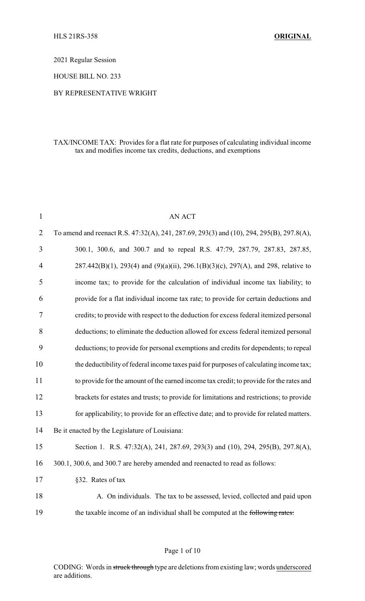2021 Regular Session

HOUSE BILL NO. 233

#### BY REPRESENTATIVE WRIGHT

## TAX/INCOME TAX: Provides for a flat rate for purposes of calculating individual income tax and modifies income tax credits, deductions, and exemptions

| $\mathbf{1}$   | <b>AN ACT</b>                                                                                       |  |
|----------------|-----------------------------------------------------------------------------------------------------|--|
| $\overline{2}$ | To amend and reenact R.S. 47:32(A), 241, 287.69, 293(3) and (10), 294, 295(B), 297.8(A),            |  |
| 3              | 300.1, 300.6, and 300.7 and to repeal R.S. 47:79, 287.79, 287.83, 287.85,                           |  |
| 4              | $287.442(B)(1)$ , $293(4)$ and $(9)(a)(ii)$ , $296.1(B)(3)(c)$ , $297(A)$ , and $298$ , relative to |  |
| 5              | income tax; to provide for the calculation of individual income tax liability; to                   |  |
| 6              | provide for a flat individual income tax rate; to provide for certain deductions and                |  |
| 7              | credits; to provide with respect to the deduction for excess federal itemized personal              |  |
| 8              | deductions; to eliminate the deduction allowed for excess federal itemized personal                 |  |
| 9              | deductions; to provide for personal exemptions and credits for dependents; to repeal                |  |
| 10             | the deductibility of federal income taxes paid for purposes of calculating income tax;              |  |
| 11             | to provide for the amount of the earned income tax credit; to provide for the rates and             |  |
| 12             | brackets for estates and trusts; to provide for limitations and restrictions; to provide            |  |
| 13             | for applicability; to provide for an effective date; and to provide for related matters.            |  |
| 14             | Be it enacted by the Legislature of Louisiana:                                                      |  |
| 15             | Section 1. R.S. 47:32(A), 241, 287.69, 293(3) and (10), 294, 295(B), 297.8(A),                      |  |
| 16             | 300.1, 300.6, and 300.7 are hereby amended and reenacted to read as follows:                        |  |
| 17             | §32. Rates of tax                                                                                   |  |
| 18             | A. On individuals. The tax to be assessed, levied, collected and paid upon                          |  |
| 19             | the taxable income of an individual shall be computed at the following rates:                       |  |
|                |                                                                                                     |  |

### Page 1 of 10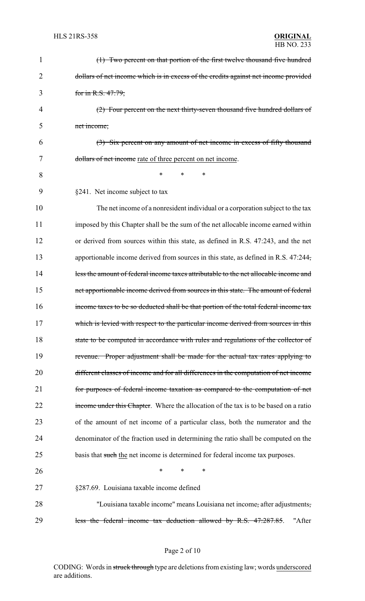| 1  | (1) Two percent on that portion of the first twelve thousand five hundred            |
|----|--------------------------------------------------------------------------------------|
| 2  | dollars of net income which is in excess of the credits against net income provided  |
| 3  | for in R.S. 47:79;                                                                   |
| 4  | (2) Four percent on the next thirty-seven thousand five hundred dollars of           |
| 5  | net income;                                                                          |
| 6  | (3) Six percent on any amount of net income in excess of fifty thousand              |
| 7  | dollars of net income rate of three percent on net income.                           |
| 8  | $\ast$<br>*<br>*                                                                     |
| 9  | §241. Net income subject to tax                                                      |
| 10 | The net income of a nonresident individual or a corporation subject to the tax       |
| 11 | imposed by this Chapter shall be the sum of the net allocable income earned within   |
| 12 | or derived from sources within this state, as defined in R.S. 47:243, and the net    |
| 13 | apportionable income derived from sources in this state, as defined in R.S. 47:244,  |
| 14 | less the amount of federal income taxes attributable to the net allocable income and |
| 15 | net apportionable income derived from sources in this state. The amount of federal   |
| 16 | income taxes to be so deducted shall be that portion of the total federal income tax |
| 17 | which is levied with respect to the particular income derived from sources in this   |
| 18 | state to be computed in accordance with rules and regulations of the collector of    |
| 19 | revenue. Proper adjustment shall be made for the actual tax rates applying to        |
| 20 | different classes of income and for all differences in the computation of net income |
| 21 | for purposes of federal income taxation as compared to the computation of net        |
| 22 | income under this Chapter. Where the allocation of the tax is to be based on a ratio |
| 23 | of the amount of net income of a particular class, both the numerator and the        |
| 24 | denominator of the fraction used in determining the ratio shall be computed on the   |
| 25 | basis that such the net income is determined for federal income tax purposes.        |
| 26 | $\ast$<br>*<br>$\ast$                                                                |
| 27 | §287.69. Louisiana taxable income defined                                            |
| 28 | "Louisiana taxable income" means Louisiana net income, after adjustments,            |
| 29 | less the federal income tax deduction allowed by R.S. 47:287.85.<br>"After           |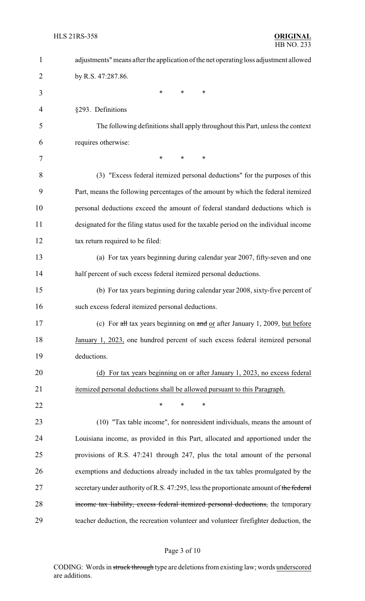| 1  | adjustments" means after the application of the net operating loss adjustment allowed               |
|----|-----------------------------------------------------------------------------------------------------|
| 2  | by R.S. 47:287.86.                                                                                  |
| 3  | $\ast$<br>*<br>∗                                                                                    |
| 4  | §293. Definitions                                                                                   |
| 5  | The following definitions shall apply throughout this Part, unless the context                      |
| 6  | requires otherwise:                                                                                 |
| 7  | $\ast$<br>$\ast$<br>*                                                                               |
| 8  | (3) "Excess federal itemized personal deductions" for the purposes of this                          |
| 9  | Part, means the following percentages of the amount by which the federal itemized                   |
| 10 | personal deductions exceed the amount of federal standard deductions which is                       |
| 11 | designated for the filing status used for the taxable period on the individual income               |
| 12 | tax return required to be filed:                                                                    |
| 13 | (a) For tax years beginning during calendar year 2007, fifty-seven and one                          |
| 14 | half percent of such excess federal itemized personal deductions.                                   |
| 15 | (b) For tax years beginning during calendar year 2008, sixty-five percent of                        |
| 16 | such excess federal itemized personal deductions.                                                   |
| 17 | (c) For $\frac{dH}{dt}$ tax years beginning on $\frac{dH}{dt}$ or after January 1, 2009, but before |
| 18 | January 1, 2023, one hundred percent of such excess federal itemized personal                       |
| 19 | deductions.                                                                                         |
| 20 | (d) For tax years beginning on or after January 1, 2023, no excess federal                          |
| 21 | itemized personal deductions shall be allowed pursuant to this Paragraph.                           |
| 22 | $\ast$<br>∗<br>∗                                                                                    |
| 23 | (10) "Tax table income", for nonresident individuals, means the amount of                           |
| 24 | Louisiana income, as provided in this Part, allocated and apportioned under the                     |
| 25 | provisions of R.S. 47:241 through 247, plus the total amount of the personal                        |
| 26 | exemptions and deductions already included in the tax tables promulgated by the                     |
| 27 | secretary under authority of R.S. 47:295, less the proportionate amount of the federal              |
| 28 | income tax liability, excess federal itemized personal deductions, the temporary                    |
| 29 | teacher deduction, the recreation volunteer and volunteer firefighter deduction, the                |

# Page 3 of 10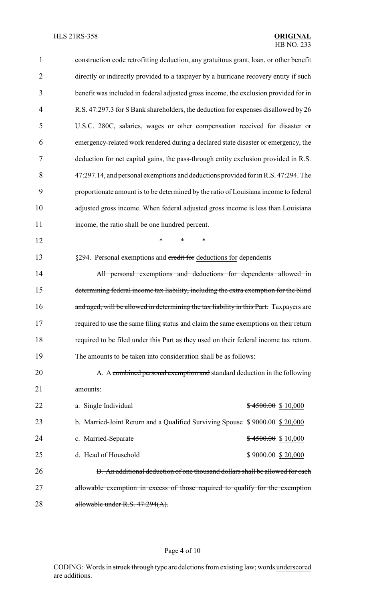| $\mathbf{1}$   | construction code retrofitting deduction, any gratuitous grant, loan, or other benefit |  |
|----------------|----------------------------------------------------------------------------------------|--|
| $\overline{2}$ | directly or indirectly provided to a taxpayer by a hurricane recovery entity if such   |  |
| 3              | benefit was included in federal adjusted gross income, the exclusion provided for in   |  |
| $\overline{4}$ | R.S. 47:297.3 for S Bank shareholders, the deduction for expenses disallowed by 26     |  |
| 5              | U.S.C. 280C, salaries, wages or other compensation received for disaster or            |  |
| 6              | emergency-related work rendered during a declared state disaster or emergency, the     |  |
| 7              | deduction for net capital gains, the pass-through entity exclusion provided in R.S.    |  |
| 8              | 47:297.14, and personal exemptions and deductions provided for in R.S. 47:294. The     |  |
| 9              | proportionate amount is to be determined by the ratio of Louisiana income to federal   |  |
| 10             | adjusted gross income. When federal adjusted gross income is less than Louisiana       |  |
| 11             | income, the ratio shall be one hundred percent.                                        |  |
| 12             | $\ast$<br>*<br>*                                                                       |  |
| 13             | §294. Personal exemptions and credit for deductions for dependents                     |  |
| 14             | All personal exemptions and deductions for dependents allowed in                       |  |
| 15             | determining federal income tax liability, including the extra exemption for the blind  |  |
| 16             | and aged, will be allowed in determining the tax liability in this Part. Taxpayers are |  |
| 17             | required to use the same filing status and claim the same exemptions on their return   |  |
| 18             | required to be filed under this Part as they used on their federal income tax return.  |  |
| 19             | The amounts to be taken into consideration shall be as follows:                        |  |
| 20             | A. A combined personal exemption and standard deduction in the following               |  |
| 21             | amounts:                                                                               |  |
| 22             | a. Single Individual<br>$$4500.00$$ \$ 10,000                                          |  |
| 23             | b. Married-Joint Return and a Qualified Surviving Spouse $\frac{$9000.00}{$20,000}$    |  |
| 24             | c. Married-Separate<br>$$4500.00$$ \$10,000                                            |  |
| 25             | d. Head of Household<br>$$9000.00$$ \$ 20,000                                          |  |
| 26             | B. An additional deduction of one thousand dollars shall be allowed for each           |  |
| 27             | allowable exemption in excess of those required to qualify for the exemption           |  |
| 28             | allowable under R.S. $47:294(A)$ .                                                     |  |

# Page 4 of 10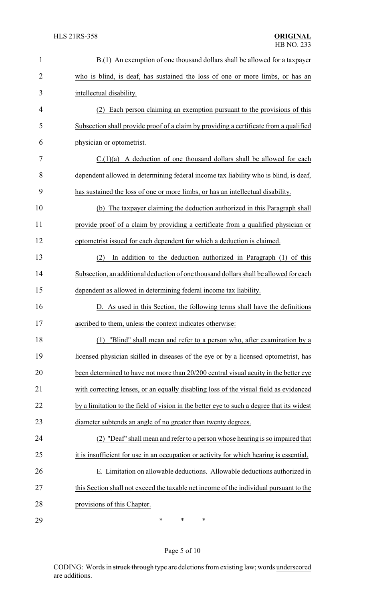| $\mathbf{1}$   | B.(1) An exemption of one thousand dollars shall be allowed for a taxpayer                |  |
|----------------|-------------------------------------------------------------------------------------------|--|
| $\overline{2}$ | who is blind, is deaf, has sustained the loss of one or more limbs, or has an             |  |
| 3              | intellectual disability.                                                                  |  |
| 4              | Each person claiming an exemption pursuant to the provisions of this<br>(2)               |  |
| 5              | Subsection shall provide proof of a claim by providing a certificate from a qualified     |  |
| 6              | physician or optometrist.                                                                 |  |
| 7              | $C.(1)(a)$ A deduction of one thousand dollars shall be allowed for each                  |  |
| 8              | dependent allowed in determining federal income tax liability who is blind, is deaf,      |  |
| 9              | has sustained the loss of one or more limbs, or has an intellectual disability.           |  |
| 10             | The taxpayer claiming the deduction authorized in this Paragraph shall<br>(b)             |  |
| 11             | provide proof of a claim by providing a certificate from a qualified physician or         |  |
| 12             | optometrist issued for each dependent for which a deduction is claimed.                   |  |
| 13             | (2)<br>In addition to the deduction authorized in Paragraph (1) of this                   |  |
| 14             | Subsection, an additional deduction of one thousand dollars shall be allowed for each     |  |
| 15             | dependent as allowed in determining federal income tax liability.                         |  |
| 16             | D. As used in this Section, the following terms shall have the definitions                |  |
| 17             | ascribed to them, unless the context indicates otherwise:                                 |  |
| 18             | (1) "Blind" shall mean and refer to a person who, after examination by a                  |  |
| 19             | licensed physician skilled in diseases of the eye or by a licensed optometrist, has       |  |
| 20             | been determined to have not more than 20/200 central visual acuity in the better eye      |  |
| 21             | with correcting lenses, or an equally disabling loss of the visual field as evidenced     |  |
| 22             | by a limitation to the field of vision in the better eye to such a degree that its widest |  |
| 23             | diameter subtends an angle of no greater than twenty degrees.                             |  |
| 24             | (2) "Deaf" shall mean and refer to a person whose hearing is so impaired that             |  |
| 25             | it is insufficient for use in an occupation or activity for which hearing is essential.   |  |
| 26             | E. Limitation on allowable deductions. Allowable deductions authorized in                 |  |
| 27             | this Section shall not exceed the taxable net income of the individual pursuant to the    |  |
| 28             | provisions of this Chapter.                                                               |  |
| 29             | ∗<br>∗<br>∗                                                                               |  |

# Page 5 of 10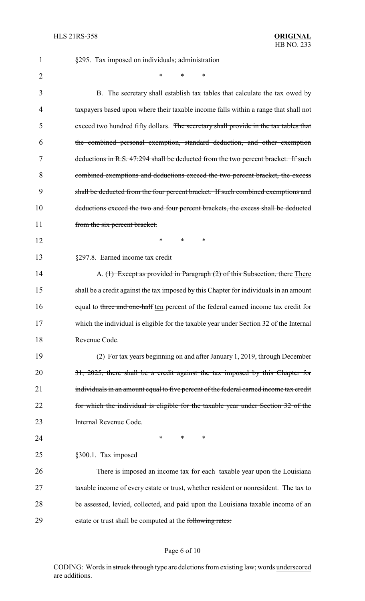| 1              | §295. Tax imposed on individuals; administration                                       |
|----------------|----------------------------------------------------------------------------------------|
| $\overline{2}$ | $\ast$<br>*                                                                            |
| 3              | B. The secretary shall establish tax tables that calculate the tax owed by             |
| 4              | taxpayers based upon where their taxable income falls within a range that shall not    |
| 5              | exceed two hundred fifty dollars. The secretary shall provide in the tax tables that   |
| 6              | the combined personal exemption, standard deduction, and other exemption               |
| 7              | deductions in R.S. 47:294 shall be deducted from the two percent bracket. If such      |
| 8              | combined exemptions and deductions exceed the two percent bracket, the excess          |
| 9              | shall be deducted from the four percent bracket. If such combined exemptions and       |
| 10             | deductions exceed the two and four percent brackets, the excess shall be deducted      |
| 11             | from the six percent bracket.                                                          |
| 12             | *<br>$\ast$<br>∗                                                                       |
| 13             | §297.8. Earned income tax credit                                                       |
| 14             | A. $(1)$ Except as provided in Paragraph $(2)$ of this Subsection, there There         |
| 15             | shall be a credit against the tax imposed by this Chapter for individuals in an amount |
| 16             | equal to three and one-half ten percent of the federal earned income tax credit for    |
| 17             | which the individual is eligible for the taxable year under Section 32 of the Internal |
| 18             | Revenue Code.                                                                          |
| 19             | $(2)$ For tax years beginning on and after January 1, 2019, through December           |
| 20             | 31, 2025, there shall be a credit against the tax imposed by this Chapter for          |
| 21             | individuals in an amount equal to five percent of the federal earned income tax credit |
| 22             | for which the individual is eligible for the taxable year under Section 32 of the      |
| 23             | Internal Revenue Code.                                                                 |
| 24             | ∗<br>*<br>∗                                                                            |
| 25             | §300.1. Tax imposed                                                                    |
| 26             | There is imposed an income tax for each taxable year upon the Louisiana                |
| 27             | taxable income of every estate or trust, whether resident or nonresident. The tax to   |
| 28             | be assessed, levied, collected, and paid upon the Louisiana taxable income of an       |
| 29             | estate or trust shall be computed at the following rates:                              |

# Page 6 of 10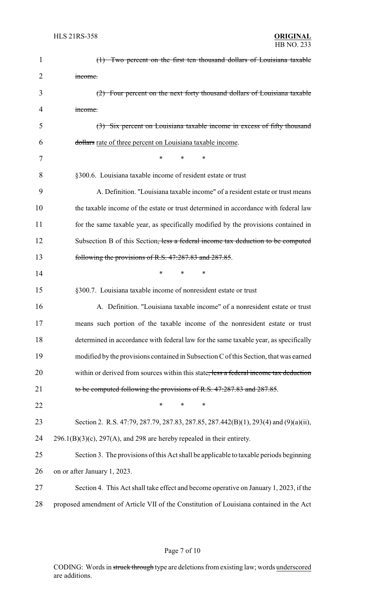| $\mathbf{1}$   | (1) Two percent on the first ten thousand dollars of Louisiana taxable                  |
|----------------|-----------------------------------------------------------------------------------------|
| $\overline{2}$ | income.                                                                                 |
| 3              | (2) Four percent on the next forty thousand dollars of Louisiana taxable                |
| 4              | income.                                                                                 |
| 5              | (3) Six percent on Louisiana taxable income in excess of fifty thousand                 |
| 6              | dollars rate of three percent on Louisiana taxable income.                              |
| 7              | *<br>∗<br>*                                                                             |
| 8              | §300.6. Louisiana taxable income of resident estate or trust                            |
| 9              | A. Definition. "Louisiana taxable income" of a resident estate or trust means           |
| 10             | the taxable income of the estate or trust determined in accordance with federal law     |
| 11             | for the same taxable year, as specifically modified by the provisions contained in      |
| 12             | Subsection B of this Section, less a federal income tax deduction to be computed        |
| 13             | following the provisions of R.S. 47:287.83 and 287.85.                                  |
| 14             | ∗                                                                                       |
| 15             | §300.7. Louisiana taxable income of nonresident estate or trust                         |
| 16             | A. Definition. "Louisiana taxable income" of a nonresident estate or trust              |
| 17             | means such portion of the taxable income of the nonresident estate or trust             |
| 18             | determined in accordance with federal law for the same taxable year, as specifically    |
| 19             | modified by the provisions contained in Subsection C of this Section, that was earned   |
| 20             | within or derived from sources within this state, less a federal income tax deduction   |
| 21             | to be computed following the provisions of R.S. 47:287.83 and 287.85.                   |
| 22             | $\ast$<br>*<br>*                                                                        |
| 23             | Section 2. R.S. 47:79, 287.79, 287.83, 287.85, 287.442(B)(1), 293(4) and (9)(a)(ii),    |
| 24             | $296.1(B)(3)(c)$ , $297(A)$ , and 298 are hereby repealed in their entirety.            |
| 25             | Section 3. The provisions of this Act shall be applicable to taxable periods beginning  |
| 26             | on or after January 1, 2023.                                                            |
| 27             | Section 4. This Act shall take effect and become operative on January 1, 2023, if the   |
| 28             | proposed amendment of Article VII of the Constitution of Louisiana contained in the Act |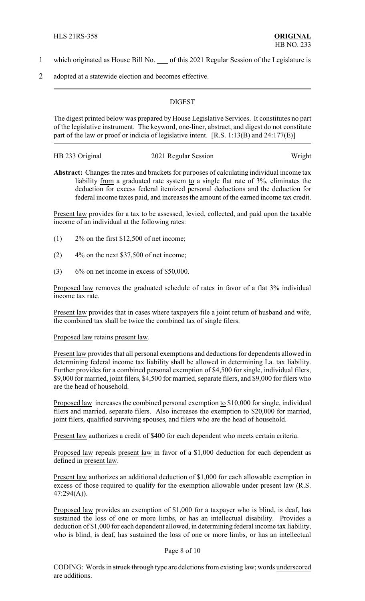- 1 which originated as House Bill No. of this 2021 Regular Session of the Legislature is
- 2 adopted at a statewide election and becomes effective.

#### **DIGEST**

The digest printed below was prepared by House Legislative Services. It constitutes no part of the legislative instrument. The keyword, one-liner, abstract, and digest do not constitute part of the law or proof or indicia of legislative intent. [R.S. 1:13(B) and 24:177(E)]

| HB 233 Original | 2021 Regular Session | Wright |
|-----------------|----------------------|--------|
|                 |                      |        |

**Abstract:** Changes the rates and brackets for purposes of calculating individual income tax liability from a graduated rate system to a single flat rate of  $3\%$ , eliminates the deduction for excess federal itemized personal deductions and the deduction for federal income taxes paid, and increases the amount of the earned income tax credit.

Present law provides for a tax to be assessed, levied, collected, and paid upon the taxable income of an individual at the following rates:

- (1) 2% on the first \$12,500 of net income;
- $(2)$  4\% on the next \$37,500 of net income;
- $(3)$  6% on net income in excess of \$50,000.

Proposed law removes the graduated schedule of rates in favor of a flat 3% individual income tax rate.

Present law provides that in cases where taxpayers file a joint return of husband and wife, the combined tax shall be twice the combined tax of single filers.

#### Proposed law retains present law.

Present law provides that all personal exemptions and deductions for dependents allowed in determining federal income tax liability shall be allowed in determining La. tax liability. Further provides for a combined personal exemption of \$4,500 for single, individual filers, \$9,000 for married, joint filers, \$4,500 for married, separate filers, and \$9,000 for filers who are the head of household.

Proposed law increases the combined personal exemption to \$10,000 for single, individual filers and married, separate filers. Also increases the exemption to \$20,000 for married, joint filers, qualified surviving spouses, and filers who are the head of household.

Present law authorizes a credit of \$400 for each dependent who meets certain criteria.

Proposed law repeals present law in favor of a \$1,000 deduction for each dependent as defined in present law.

Present law authorizes an additional deduction of \$1,000 for each allowable exemption in excess of those required to qualify for the exemption allowable under present law (R.S. 47:294(A)).

Proposed law provides an exemption of \$1,000 for a taxpayer who is blind, is deaf, has sustained the loss of one or more limbs, or has an intellectual disability. Provides a deduction of \$1,000 for each dependent allowed, in determining federal income tax liability, who is blind, is deaf, has sustained the loss of one or more limbs, or has an intellectual

#### Page 8 of 10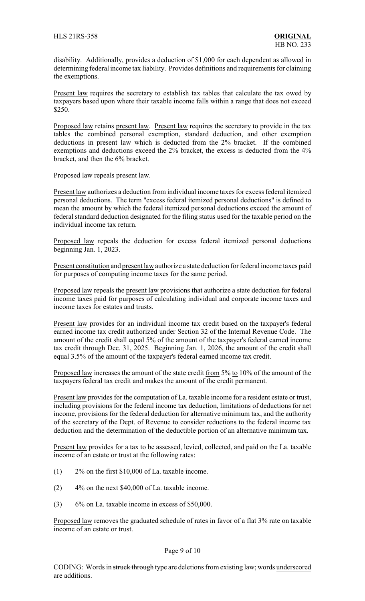disability. Additionally, provides a deduction of \$1,000 for each dependent as allowed in determining federal income tax liability. Provides definitions and requirements for claiming the exemptions.

Present law requires the secretary to establish tax tables that calculate the tax owed by taxpayers based upon where their taxable income falls within a range that does not exceed \$250.

Proposed law retains present law. Present law requires the secretary to provide in the tax tables the combined personal exemption, standard deduction, and other exemption deductions in present law which is deducted from the 2% bracket. If the combined exemptions and deductions exceed the 2% bracket, the excess is deducted from the 4% bracket, and then the 6% bracket.

Proposed law repeals present law.

Present law authorizes a deduction from individual income taxes for excess federal itemized personal deductions. The term "excess federal itemized personal deductions" is defined to mean the amount by which the federal itemized personal deductions exceed the amount of federal standard deduction designated for the filing status used for the taxable period on the individual income tax return.

Proposed law repeals the deduction for excess federal itemized personal deductions beginning Jan. 1, 2023.

Present constitution and present law authorize a state deduction for federal income taxes paid for purposes of computing income taxes for the same period.

Proposed law repeals the present law provisions that authorize a state deduction for federal income taxes paid for purposes of calculating individual and corporate income taxes and income taxes for estates and trusts.

Present law provides for an individual income tax credit based on the taxpayer's federal earned income tax credit authorized under Section 32 of the Internal Revenue Code. The amount of the credit shall equal 5% of the amount of the taxpayer's federal earned income tax credit through Dec. 31, 2025. Beginning Jan. 1, 2026, the amount of the credit shall equal 3.5% of the amount of the taxpayer's federal earned income tax credit.

Proposed law increases the amount of the state credit from 5% to 10% of the amount of the taxpayers federal tax credit and makes the amount of the credit permanent.

Present law provides for the computation of La. taxable income for a resident estate or trust, including provisions for the federal income tax deduction, limitations of deductions for net income, provisions for the federal deduction for alternative minimum tax, and the authority of the secretary of the Dept. of Revenue to consider reductions to the federal income tax deduction and the determination of the deductible portion of an alternative minimum tax.

Present law provides for a tax to be assessed, levied, collected, and paid on the La. taxable income of an estate or trust at the following rates:

- (1) 2% on the first \$10,000 of La. taxable income.
- $(2)$  4% on the next \$40,000 of La. taxable income.
- $(3)$  6% on La. taxable income in excess of \$50,000.

Proposed law removes the graduated schedule of rates in favor of a flat 3% rate on taxable income of an estate or trust.

### Page 9 of 10